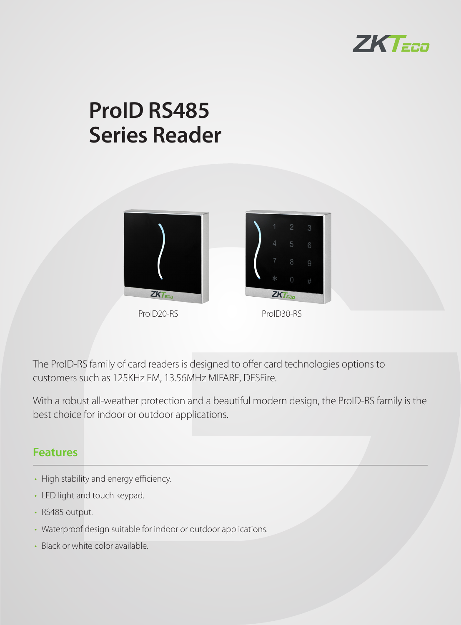

# **ProID RS485 Series Reader**





The ProID-RS family of card readers is designed to offer card technologies options to customers such as 125KHz EM, 13.56MHz MIFARE, DESFire.

With a robust all-weather protection and a beautiful modern design, the ProID-RS family is the best choice for indoor or outdoor applications.

#### **Features**

- High stability and energy efficiency.
- LED light and touch keypad.
- RS485 output.
- Waterproof design suitable for indoor or outdoor applications.
- Black or white color available.